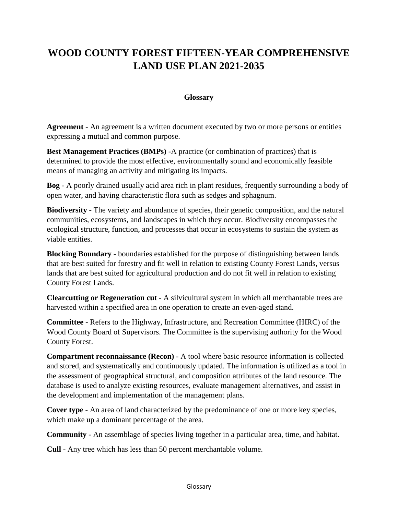## **WOOD COUNTY FOREST FIFTEEN-YEAR COMPREHENSIVE LAND USE PLAN 2021-2035**

## **Glossary**

**Agreement** - An agreement is a written document executed by two or more persons or entities expressing a mutual and common purpose.

**Best Management Practices (BMPs)** -A practice (or combination of practices) that is determined to provide the most effective, environmentally sound and economically feasible means of managing an activity and mitigating its impacts.

**Bog** - A poorly drained usually acid area rich in plant residues, frequently surrounding a body of open water, and having characteristic flora such as sedges and sphagnum.

**Biodiversity** - The variety and abundance of species, their genetic composition, and the natural communities, ecosystems, and landscapes in which they occur. Biodiversity encompasses the ecological structure, function, and processes that occur in ecosystems to sustain the system as viable entities.

**Blocking Boundary** - boundaries established for the purpose of distinguishing between lands that are best suited for forestry and fit well in relation to existing County Forest Lands, versus lands that are best suited for agricultural production and do not fit well in relation to existing County Forest Lands.

**Clearcutting or Regeneration cut** - A silvicultural system in which all merchantable trees are harvested within a specified area in one operation to create an even-aged stand.

**Committee** - Refers to the Highway, Infrastructure, and Recreation Committee (HIRC) of the Wood County Board of Supervisors. The Committee is the supervising authority for the Wood County Forest.

**Compartment reconnaissance (Recon)** - A tool where basic resource information is collected and stored, and systematically and continuously updated. The information is utilized as a tool in the assessment of geographical structural, and composition attributes of the land resource. The database is used to analyze existing resources, evaluate management alternatives, and assist in the development and implementation of the management plans.

**Cover type** - An area of land characterized by the predominance of one or more key species, which make up a dominant percentage of the area.

**Community** - An assemblage of species living together in a particular area, time, and habitat.

**Cull** - Any tree which has less than 50 percent merchantable volume.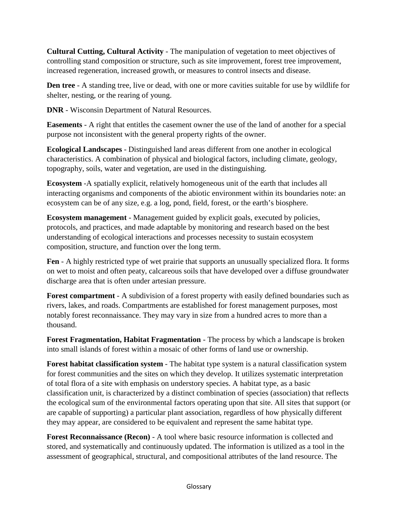**Cultural Cutting, Cultural Activity** - The manipulation of vegetation to meet objectives of controlling stand composition or structure, such as site improvement, forest tree improvement, increased regeneration, increased growth, or measures to control insects and disease.

**Den tree** - A standing tree, live or dead, with one or more cavities suitable for use by wildlife for shelter, nesting, or the rearing of young.

**DNR** - Wisconsin Department of Natural Resources.

**Easements** - A right that entitles the casement owner the use of the land of another for a special purpose not inconsistent with the general property rights of the owner.

**Ecological Landscapes** - Distinguished land areas different from one another in ecological characteristics. A combination of physical and biological factors, including climate, geology, topography, soils, water and vegetation, are used in the distinguishing.

**Ecosystem** -A spatially explicit, relatively homogeneous unit of the earth that includes all interacting organisms and components of the abiotic environment within its boundaries note: an ecosystem can be of any size, e.g. a log, pond, field, forest, or the earth's biosphere.

**Ecosystem management** - Management guided by explicit goals, executed by policies, protocols, and practices, and made adaptable by monitoring and research based on the best understanding of ecological interactions and processes necessity to sustain ecosystem composition, structure, and function over the long term.

**Fen** - A highly restricted type of wet prairie that supports an unusually specialized flora. It forms on wet to moist and often peaty, calcareous soils that have developed over a diffuse groundwater discharge area that is often under artesian pressure.

**Forest compartment** - A subdivision of a forest property with easily defined boundaries such as rivers, lakes, and roads. Compartments are established for forest management purposes, most notably forest reconnaissance. They may vary in size from a hundred acres to more than a thousand.

**Forest Fragmentation, Habitat Fragmentation** - The process by which a landscape is broken into small islands of forest within a mosaic of other forms of land use or ownership.

**Forest habitat classification system** - The habitat type system is a natural classification system for forest communities and the sites on which they develop. It utilizes systematic interpretation of total flora of a site with emphasis on understory species. A habitat type, as a basic classification unit, is characterized by a distinct combination of species (association) that reflects the ecological sum of the environmental factors operating upon that site. All sites that support (or are capable of supporting) a particular plant association, regardless of how physically different they may appear, are considered to be equivalent and represent the same habitat type.

**Forest Reconnaissance (Recon)** - A tool where basic resource information is collected and stored, and systematically and continuously updated. The information is utilized as a tool in the assessment of geographical, structural, and compositional attributes of the land resource. The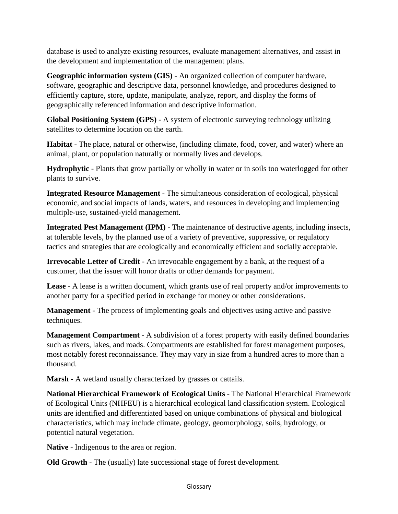database is used to analyze existing resources, evaluate management alternatives, and assist in the development and implementation of the management plans.

**Geographic information system (GIS)** - An organized collection of computer hardware, software, geographic and descriptive data, personnel knowledge, and procedures designed to efficiently capture, store, update, manipulate, analyze, report, and display the forms of geographically referenced information and descriptive information.

**Global Positioning System (GPS)** - A system of electronic surveying technology utilizing satellites to determine location on the earth.

**Habitat** - The place, natural or otherwise, (including climate, food, cover, and water) where an animal, plant, or population naturally or normally lives and develops.

**Hydrophytic** - Plants that grow partially or wholly in water or in soils too waterlogged for other plants to survive.

**Integrated Resource Management** - The simultaneous consideration of ecological, physical economic, and social impacts of lands, waters, and resources in developing and implementing multiple-use, sustained-yield management.

**Integrated Pest Management (IPM)** - The maintenance of destructive agents, including insects, at tolerable levels, by the planned use of a variety of preventive, suppressive, or regulatory tactics and strategies that are ecologically and economically efficient and socially acceptable.

**Irrevocable Letter of Credit** - An irrevocable engagement by a bank, at the request of a customer, that the issuer will honor drafts or other demands for payment.

**Lease** - A lease is a written document, which grants use of real property and/or improvements to another party for a specified period in exchange for money or other considerations.

**Management** - The process of implementing goals and objectives using active and passive techniques.

**Management Compartment** - A subdivision of a forest property with easily defined boundaries such as rivers, lakes, and roads. Compartments are established for forest management purposes, most notably forest reconnaissance. They may vary in size from a hundred acres to more than a thousand.

**Marsh** - A wetland usually characterized by grasses or cattails.

**National Hierarchical Framework of Ecological Units** - The National Hierarchical Framework of Ecological Units (NHFEU) is a hierarchical ecological land classification system. Ecological units are identified and differentiated based on unique combinations of physical and biological characteristics, which may include climate, geology, geomorphology, soils, hydrology, or potential natural vegetation.

**Native** - Indigenous to the area or region.

**Old Growth** - The (usually) late successional stage of forest development.